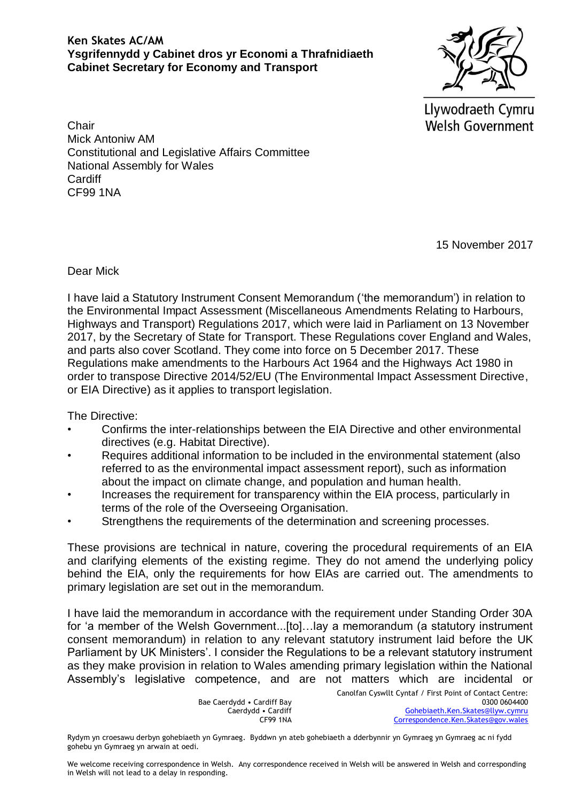## **Ken Skates AC/AM Ysgrifennydd y Cabinet dros yr Economi a Thrafnidiaeth Cabinet Secretary for Economy and Transport**

Llywodraeth Cymru **Welsh Government** 

**Chair** Mick Antoniw AM Constitutional and Legislative Affairs Committee National Assembly for Wales **Cardiff** CF99 1NA

15 November 2017

## Dear Mick

I have laid a Statutory Instrument Consent Memorandum ('the memorandum') in relation to the Environmental Impact Assessment (Miscellaneous Amendments Relating to Harbours, Highways and Transport) Regulations 2017, which were laid in Parliament on 13 November 2017, by the Secretary of State for Transport. These Regulations cover England and Wales, and parts also cover Scotland. They come into force on 5 December 2017. These Regulations make amendments to the Harbours Act 1964 and the Highways Act 1980 in order to transpose Directive 2014/52/EU (The Environmental Impact Assessment Directive, or EIA Directive) as it applies to transport legislation.

The Directive:

- Confirms the inter-relationships between the EIA Directive and other environmental directives (e.g. Habitat Directive).
- Requires additional information to be included in the environmental statement (also referred to as the environmental impact assessment report), such as information about the impact on climate change, and population and human health.
- Increases the requirement for transparency within the EIA process, particularly in terms of the role of the Overseeing Organisation.
- Strengthens the requirements of the determination and screening processes.

These provisions are technical in nature, covering the procedural requirements of an EIA and clarifying elements of the existing regime. They do not amend the underlying policy behind the EIA, only the requirements for how EIAs are carried out. The amendments to primary legislation are set out in the memorandum.

I have laid the memorandum in accordance with the requirement under Standing Order 30A for 'a member of the Welsh Government...[to]…lay a memorandum (a statutory instrument consent memorandum) in relation to any relevant statutory instrument laid before the UK Parliament by UK Ministers'. I consider the Regulations to be a relevant statutory instrument as they make provision in relation to Wales amending primary legislation within the National Assembly's legislative competence, and are not matters which are incidental or

> Bae Caerdydd • Cardiff Bay Caerdydd • Cardiff CF99 1NA

Canolfan Cyswllt Cyntaf / First Point of Contact Centre: 0300 0604400 [Gohebiaeth.Ken.Skates@llyw.cymru](mailto:Gohebiaeth.Ken.Skates@llyw.cymru) [Correspondence.Ken.Skates@gov.wales](mailto:Correspondence.Ken.Skates@gov.wales)

Rydym yn croesawu derbyn gohebiaeth yn Gymraeg. Byddwn yn ateb gohebiaeth a dderbynnir yn Gymraeg yn Gymraeg ac ni fydd gohebu yn Gymraeg yn arwain at oedi.